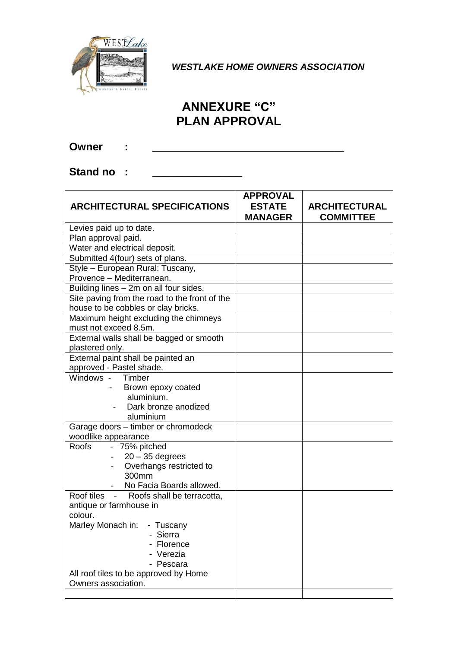

*WESTLAKE HOME OWNERS ASSOCIATION*

## **ANNEXURE "C" PLAN APPROVAL**

**Owner : \_\_\_\_\_\_\_\_\_\_\_\_\_\_\_\_\_\_\_\_\_\_\_\_\_\_\_\_\_\_\_\_**

Stand no **:** \_\_\_\_\_\_\_\_\_\_\_\_\_\_

| <b>ARCHITECTURAL SPECIFICATIONS</b>           | <b>APPROVAL</b><br><b>ESTATE</b><br><b>MANAGER</b> | <b>ARCHITECTURAL</b><br><b>COMMITTEE</b> |
|-----------------------------------------------|----------------------------------------------------|------------------------------------------|
| Levies paid up to date.                       |                                                    |                                          |
| Plan approval paid.                           |                                                    |                                          |
| Water and electrical deposit.                 |                                                    |                                          |
| Submitted 4(four) sets of plans.              |                                                    |                                          |
| Style - European Rural: Tuscany,              |                                                    |                                          |
| Provence - Mediterranean.                     |                                                    |                                          |
| Building lines - 2m on all four sides.        |                                                    |                                          |
| Site paving from the road to the front of the |                                                    |                                          |
| house to be cobbles or clay bricks.           |                                                    |                                          |
| Maximum height excluding the chimneys         |                                                    |                                          |
| must not exceed 8.5m.                         |                                                    |                                          |
| External walls shall be bagged or smooth      |                                                    |                                          |
| plastered only.                               |                                                    |                                          |
| External paint shall be painted an            |                                                    |                                          |
| approved - Pastel shade.                      |                                                    |                                          |
| Windows - Timber                              |                                                    |                                          |
| Brown epoxy coated                            |                                                    |                                          |
| aluminium.                                    |                                                    |                                          |
| Dark bronze anodized                          |                                                    |                                          |
| aluminium                                     |                                                    |                                          |
| Garage doors - timber or chromodeck           |                                                    |                                          |
| woodlike appearance                           |                                                    |                                          |
| Roofs - 75% pitched                           |                                                    |                                          |
| $20 - 35$ degrees                             |                                                    |                                          |
| Overhangs restricted to                       |                                                    |                                          |
| 300mm                                         |                                                    |                                          |
| No Facia Boards allowed.<br>$\sim 10^{-11}$   |                                                    |                                          |
| Roof tiles - Roofs shall be terracotta,       |                                                    |                                          |
| antique or farmhouse in                       |                                                    |                                          |
| colour.                                       |                                                    |                                          |
| Marley Monach in: - Tuscany                   |                                                    |                                          |
| - Sierra                                      |                                                    |                                          |
| Florence                                      |                                                    |                                          |
| Verezia<br>- Pescara                          |                                                    |                                          |
| All roof tiles to be approved by Home         |                                                    |                                          |
| Owners association.                           |                                                    |                                          |
|                                               |                                                    |                                          |